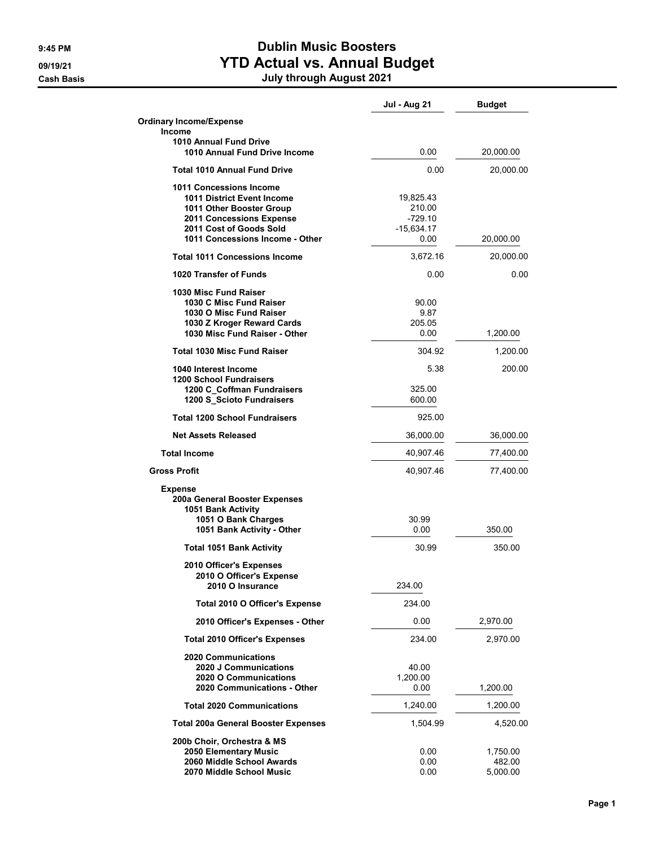**Cash Basis** 

## 9:45 PM Dublin Music Boosters 09/19/21 CONTROLLERGY CONTROLLERGY MANUSO PRIMAGE OF VIOLATION AT A VIOLET AT A VIOLET ACTUAL METALLON CONTROLL

|  |  | <b>July through August 2021</b> |  |  |  |
|--|--|---------------------------------|--|--|--|
|--|--|---------------------------------|--|--|--|

|                                                                                                                                                                             | <b>Jul - Aug 21</b>                                      | <b>Budget</b>                  |
|-----------------------------------------------------------------------------------------------------------------------------------------------------------------------------|----------------------------------------------------------|--------------------------------|
| <b>Ordinary Income/Expense</b><br>Income                                                                                                                                    |                                                          |                                |
| 1010 Annual Fund Drive<br>1010 Annual Fund Drive Income                                                                                                                     | 0.00                                                     | 20,000.00                      |
| Total 1010 Annual Fund Drive                                                                                                                                                | 0.00                                                     | 20,000.00                      |
| 1011 Concessions Income<br>1011 District Event Income<br>1011 Other Booster Group<br>2011 Concessions Expense<br>2011 Cost of Goods Sold<br>1011 Concessions Income - Other | 19,825.43<br>210.00<br>$-729.10$<br>$-15,634.17$<br>0.00 | 20,000.00                      |
| <b>Total 1011 Concessions Income</b>                                                                                                                                        | 3,672.16                                                 | 20,000.00                      |
| 1020 Transfer of Funds                                                                                                                                                      | 0.00                                                     | 0.00                           |
| 1030 Misc Fund Raiser<br>1030 C Misc Fund Raiser<br>1030 O Misc Fund Raiser<br>1030 Z Kroger Reward Cards<br>1030 Misc Fund Raiser - Other                                  | 90.00<br>9.87<br>205.05<br>0.00                          | 1,200.00                       |
| <b>Total 1030 Misc Fund Raiser</b>                                                                                                                                          | 304.92                                                   | 1,200.00                       |
| 1040 Interest Income<br><b>1200 School Fundraisers</b><br>1200 C_Coffman Fundraisers                                                                                        | 5.38<br>325.00                                           | 200.00                         |
| 1200 S Scioto Fundraisers                                                                                                                                                   | 600.00                                                   |                                |
| <b>Total 1200 School Fundraisers</b>                                                                                                                                        | 925.00                                                   |                                |
| <b>Net Assets Released</b>                                                                                                                                                  | 36,000.00                                                | 36,000.00                      |
| <b>Total Income</b>                                                                                                                                                         | 40,907.46                                                | 77,400.00                      |
| <b>Gross Profit</b>                                                                                                                                                         | 40,907.46                                                | 77,400.00                      |
| <b>Expense</b><br>200a General Booster Expenses<br>1051 Bank Activity<br>1051 O Bank Charges<br>1051 Bank Activity - Other                                                  | 30.99<br>0.00                                            | 350.00                         |
| <b>Total 1051 Bank Activity</b>                                                                                                                                             | 30.99                                                    | 350.00                         |
| 2010 Officer's Expenses<br>2010 O Officer's Expense<br>2010 O Insurance                                                                                                     | 234.00                                                   |                                |
| Total 2010 O Officer's Expense                                                                                                                                              | 234.00                                                   |                                |
| 2010 Officer's Expenses - Other                                                                                                                                             | 0.00                                                     | 2,970.00                       |
| <b>Total 2010 Officer's Expenses</b>                                                                                                                                        | 234.00                                                   | 2,970.00                       |
| <b>2020 Communications</b><br>2020 J Communications<br>2020 O Communications<br>2020 Communications - Other                                                                 | 40.00<br>1,200.00<br>0.00                                | 1,200.00                       |
| <b>Total 2020 Communications</b>                                                                                                                                            | 1,240.00                                                 | 1,200.00                       |
| <b>Total 200a General Booster Expenses</b>                                                                                                                                  | 1,504.99                                                 | 4,520.00                       |
| 200b Choir, Orchestra & MS<br>2050 Elementary Music<br>2060 Middle School Awards<br>2070 Middle School Music                                                                | 0.00<br>0.00<br>0.00                                     | 1,750.00<br>482.00<br>5,000.00 |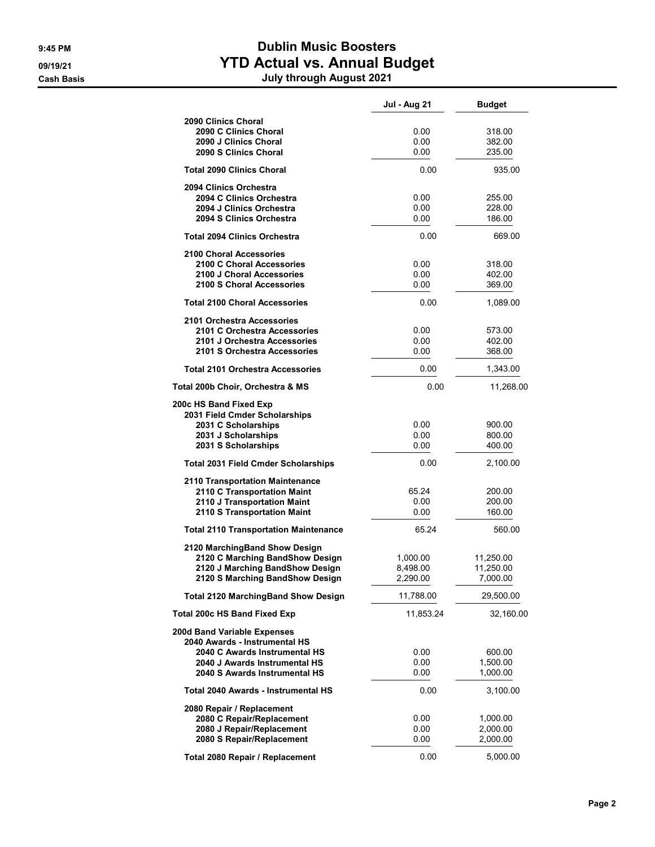## 9:45 PM Dublin Music Boosters 09/19/21 **1999 120 TELLIAN CONTROLLER STEPS AND ACTUAL VS. Annual Budget** Cash Basis July through August 2021

|                                                                                                                                                                 | Jul - Aug 21                     | <b>Budget</b>                      |
|-----------------------------------------------------------------------------------------------------------------------------------------------------------------|----------------------------------|------------------------------------|
| 2090 Clinics Choral<br>2090 C Clinics Choral<br>2090 J Clinics Choral<br>2090 S Clinics Choral                                                                  | 0.00<br>0.00<br>0.00             | 318.00<br>382.00<br>235.00         |
| <b>Total 2090 Clinics Choral</b>                                                                                                                                | 0.00                             | 935.00                             |
| 2094 Clinics Orchestra<br>2094 C Clinics Orchestra<br>2094 J Clinics Orchestra<br>2094 S Clinics Orchestra                                                      | 0.00<br>0.00<br>0.00             | 255.00<br>228.00<br>186.00         |
| <b>Total 2094 Clinics Orchestra</b>                                                                                                                             | 0.00                             | 669.00                             |
| 2100 Choral Accessories<br>2100 C Choral Accessories<br>2100 J Choral Accessories<br>2100 S Choral Accessories                                                  | 0.00<br>0.00<br>0.00             | 318.00<br>402.00<br>369.00         |
| <b>Total 2100 Choral Accessories</b>                                                                                                                            | 0.00                             | 1,089.00                           |
| 2101 Orchestra Accessories<br>2101 C Orchestra Accessories<br>2101 J Orchestra Accessories<br>2101 S Orchestra Accessories                                      | 0.00<br>0.00<br>0.00             | 573.00<br>402.00<br>368.00         |
| <b>Total 2101 Orchestra Accessories</b>                                                                                                                         | 0.00                             | 1,343.00                           |
| Total 200b Choir, Orchestra & MS                                                                                                                                | 0.00                             | 11,268.00                          |
| 200c HS Band Fixed Exp<br>2031 Field Cmder Scholarships<br>2031 C Scholarships<br>2031 J Scholarships<br>2031 S Scholarships                                    | 0.00<br>0.00<br>0.00             | 900.00<br>800.00<br>400.00         |
| <b>Total 2031 Field Cmder Scholarships</b>                                                                                                                      | 0.00                             | 2,100.00                           |
| 2110 Transportation Maintenance<br>2110 C Transportation Maint<br>2110 J Transportation Maint<br>2110 S Transportation Maint                                    | 65.24<br>0.00<br>0.00            | 200.00<br>200.00<br>160.00         |
| <b>Total 2110 Transportation Maintenance</b>                                                                                                                    | 65.24                            | 560.00                             |
| 2120 MarchingBand Show Design<br>2120 C Marching BandShow Design<br>2120 J Marching BandShow Design<br>2120 S Marching BandShow Design                          | 1,000.00<br>8,498.00<br>2,290.00 | 11,250.00<br>11,250.00<br>7,000.00 |
| <b>Total 2120 MarchingBand Show Design</b>                                                                                                                      | 11,788.00                        | 29,500.00                          |
| <b>Total 200c HS Band Fixed Exp</b>                                                                                                                             | 11,853.24                        | 32,160.00                          |
| 200d Band Variable Expenses<br>2040 Awards - Instrumental HS<br>2040 C Awards Instrumental HS<br>2040 J Awards Instrumental HS<br>2040 S Awards Instrumental HS | 0.00<br>0.00<br>0.00             | 600.00<br>1,500.00<br>1,000.00     |
| Total 2040 Awards - Instrumental HS                                                                                                                             | 0.00                             | 3,100.00                           |
| 2080 Repair / Replacement<br>2080 C Repair/Replacement<br>2080 J Repair/Replacement<br>2080 S Repair/Replacement                                                | 0.00<br>0.00<br>0.00             | 1,000.00<br>2,000.00<br>2,000.00   |
| Total 2080 Repair / Replacement                                                                                                                                 | 0.00                             | 5,000.00                           |